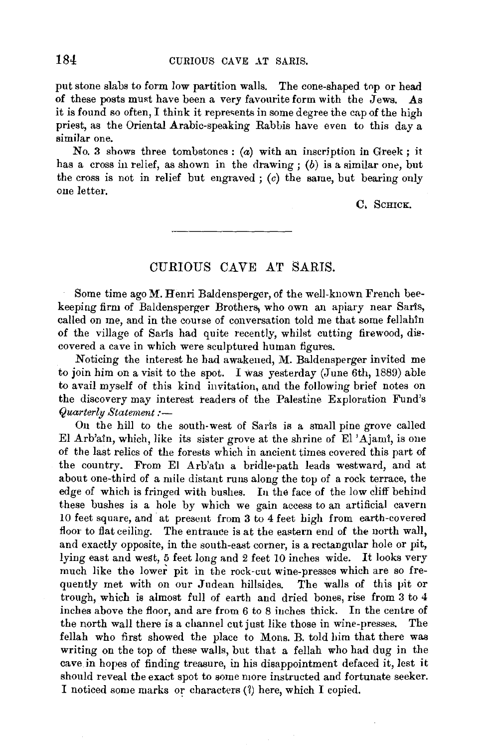put stone slabs to form low partition walls. The cone-shaped top or head of these posts must have been a very favourite form with the  $Jews.$  As it is found so often, I think it represents in some degree the cap of the high priest, as the Oriental Arabic-speaking Rabbis have even to this day a similar one.

No. 3 shows three tombstones:  $(a)$  with an inscription in Greek; it has a cross in relief, as shown in the drawing;  $(b)$  is a similar one, but the cross is not in relief but engraved; *(c)* the same, but bearing only one letter.

C, SCHICK,

## CURIOUS CAVE AT SARIS.

Some time ago M. Henri Baldensperger, of the well-known French beekeeping firm of Baldensperger Brothers, who own an apiary near Saris, called on me, and in the course of conversation told me that some fellahin of the village of Saris had quite recently, whilst cutting firewood, discovered a cave in which were sculptured human figures.

Noticing the interest he had awakened, M. Baldensperger invited me to join him on a visit to the spot. I was yesterday (June 6th, 1889) able to avail myself of this kind invitation, and the following brief notes on the discovery may interest readers of the Palestine Exploration Fund's *Quarterly Statement:-*

On the hill to the south-west of Saris is a small pine grove called El Arb'ain, which, like its sister grove at the shrine of El 'Ajami, is one of the last relics of the forests which !n ancient times covered this part of the country. From El Arb'ain a bridle•path leads westward, and at about one-third of a mile distant runs along the top of a rock terrace, the edge of which is fringed with bushes. In the face of the low ciiff behind these bushes is a hole by which we gain access to an artificial cavern 10 feet square, and· at present from 3 to 4 feet high from earth-covered floor to flat ceiling. The entrance is at the eastern end of the north wall, and exactly opposite, in the south-east corner, is a rectangular hole or pit,  $\sin \alpha$  east and west, 5 feet long and 2 feet 10 inches wide. It looks very lying east and west, 5 feet long and 2 feet 10 inches wide. It looks very much like the lower pit in the rock-cut wine-presses which are so frequently met with on our Judean hillsides. The walls of this pit or trough, which is almost full of earth and dried bones, rise from 3 to 4 inches above the floor, and are from 6 to 8 inches thick. In the centre of the north wall there is a channel cut just like those in wine-presses. The fellah who first showed the place to Mons. B. told him that there was writing on the top of these walls, but that a fellah who had dug in the cave in hopes of finding treasure, in his disappointment defaced it, lest it should reveal the exact spot to some more instructed and fortunate seeker. I noticed some marks or characters (?) here, which I copied.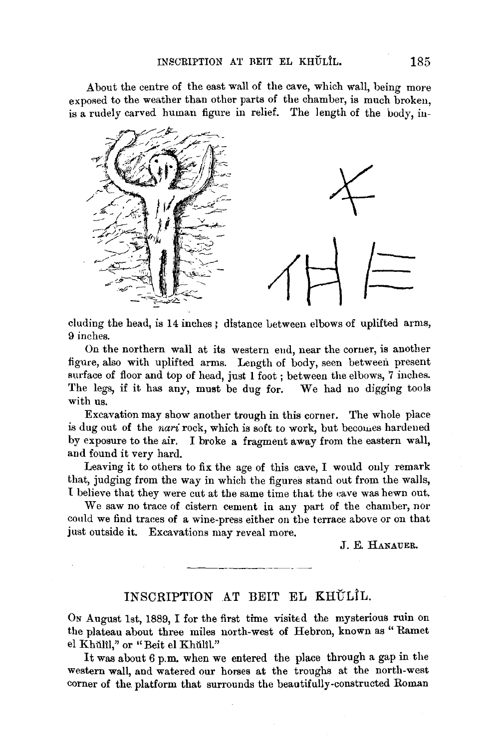About the centre of the east wall of the cave, which wall, being more exposed to the weather than other parts of the chamber, is much broken. is a rudely carved human figure in relief. The length of the body, in-



cluding the head, is 14 inches; distance between elbows of uplifted arms, 9 inches.

On the northern wall at its western eud, near the corner, is another figure, also with uplifted arms. Length of body, seen between present surface of floor and top of head, just 1 foot ; between the elbows, 7 inches. The legs, if it has any, must be dug for. We had no digging tools with us.

Excavation may show another trough in this corner. The whole place is dug out of the *nari* rock, which is soft to work, but becomes hardened by exposure to the air. I broke a fragment away from the eastern wall, and found it very hard.

Leaving it to others to fix the age of this cave, I would only remark that, judging from the way in which the figures stand out from the walls, 1 believe that they were cut at the same time that the eave was hewn out.

We saw no trace of cistern cement in any part of the chamber, nor could we find traces of a wine-press either on the terrace above or on that just outside it. Excavations may reveal more.

J. E. HANAUER.

## INSCRIPTION AT BEIT EL KHŬLIL.

ON August 1st, 1889, I for the first time visited the mysterious ruin on the plateau about three miles north-west of Hebron, known as "Ramet el Khŭlîl," or "Beit el Khŭlîl."

It was about 6 p.m. when we entered the place through a gap in the western wall, and watered our horses at the troughs at the north-west corner of the. platform that surrounds the beautifully-constructed Roman